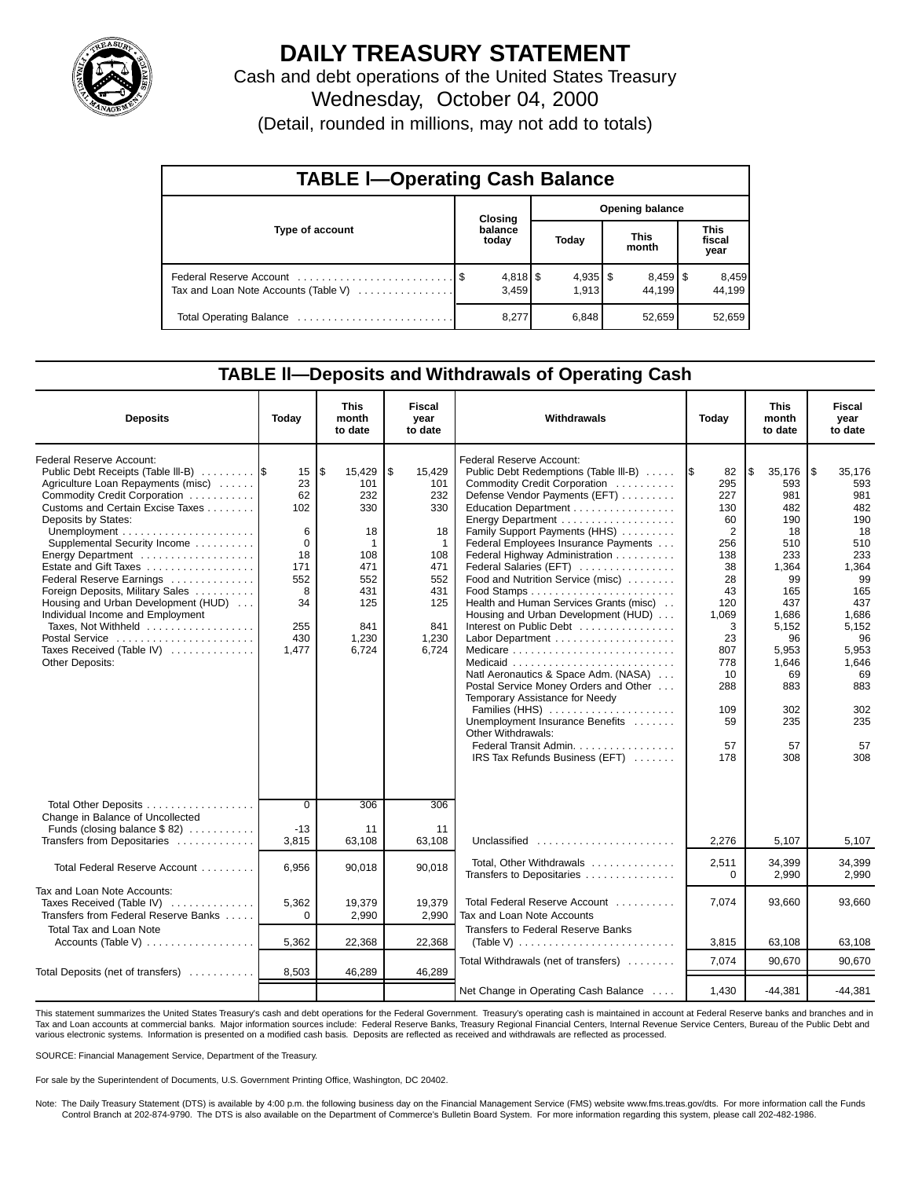

# **DAILY TREASURY STATEMENT**

Cash and debt operations of the United States Treasury Wednesday, October 04, 2000

(Detail, rounded in millions, may not add to totals)

| <b>TABLE I-Operating Cash Balance</b> |                            |       |  |                     |  |                                 |  |                               |  |  |
|---------------------------------------|----------------------------|-------|--|---------------------|--|---------------------------------|--|-------------------------------|--|--|
|                                       | Opening balance<br>Closing |       |  |                     |  |                                 |  |                               |  |  |
| Type of account                       | balance<br>today           |       |  | Today               |  | <b>This</b><br>month            |  | <b>This</b><br>fiscal<br>year |  |  |
| Tax and Loan Note Accounts (Table V)  |                            | 3.459 |  | $4,935$ \$<br>1.913 |  | $8,459$ $\frac{8}{3}$<br>44.199 |  | 8,459<br>44,199               |  |  |
|                                       |                            | 8,277 |  | 6,848               |  | 52,659                          |  | 52,659                        |  |  |

### **TABLE ll—Deposits and Withdrawals of Operating Cash**

| <b>Deposits</b>                                                                                                                                                                                                                                                                                                                                                                                                                                                                                            | Today                                                                                 | <b>This</b><br>month<br>to date                                                                           | <b>Fiscal</b><br>year<br>to date                                                                                    | Withdrawals                                                                                                                                                                                                                                                                                                                                                                                                                                                                                                                                                                                                                                                                                                                                                                                                   | Today                                                                                                                                                     | This<br>month<br>to date                                                                                                                                              | Fiscal<br>year<br>to date                                                                                                                                                    |
|------------------------------------------------------------------------------------------------------------------------------------------------------------------------------------------------------------------------------------------------------------------------------------------------------------------------------------------------------------------------------------------------------------------------------------------------------------------------------------------------------------|---------------------------------------------------------------------------------------|-----------------------------------------------------------------------------------------------------------|---------------------------------------------------------------------------------------------------------------------|---------------------------------------------------------------------------------------------------------------------------------------------------------------------------------------------------------------------------------------------------------------------------------------------------------------------------------------------------------------------------------------------------------------------------------------------------------------------------------------------------------------------------------------------------------------------------------------------------------------------------------------------------------------------------------------------------------------------------------------------------------------------------------------------------------------|-----------------------------------------------------------------------------------------------------------------------------------------------------------|-----------------------------------------------------------------------------------------------------------------------------------------------------------------------|------------------------------------------------------------------------------------------------------------------------------------------------------------------------------|
| <b>Federal Reserve Account:</b><br>Public Debt Receipts (Table III-B)<br>Agriculture Loan Repayments (misc)<br>Commodity Credit Corporation<br>Customs and Certain Excise Taxes<br>Deposits by States:<br>Supplemental Security Income<br>Estate and Gift Taxes<br>Federal Reserve Earnings<br>Foreign Deposits, Military Sales<br>Housing and Urban Development (HUD)<br>Individual Income and Employment<br>Taxes, Not Withheld<br>Postal Service<br>Taxes Received (Table IV)<br><b>Other Deposits:</b> | 15<br>23<br>62<br>102<br>6<br>0<br>18<br>171<br>552<br>8<br>34<br>255<br>430<br>1.477 | \$<br>15,429<br>101<br>232<br>330<br>18<br>-1<br>108<br>471<br>552<br>431<br>125<br>841<br>1,230<br>6.724 | \$<br>15,429<br>101<br>232<br>330<br>18<br>$\mathbf{1}$<br>108<br>471<br>552<br>431<br>125<br>841<br>1,230<br>6.724 | <b>Federal Reserve Account:</b><br>Public Debt Redemptions (Table III-B)<br>Commodity Credit Corporation<br>Defense Vendor Payments (EFT)<br>Education Department<br>Energy Department<br>Family Support Payments (HHS)<br>Federal Employees Insurance Payments<br>Federal Highway Administration<br>Federal Salaries (EFT)<br>Food and Nutrition Service (misc)<br>Health and Human Services Grants (misc)<br>Housing and Urban Development (HUD)<br>Interest on Public Debt<br>Medicare $\ldots \ldots \ldots \ldots \ldots \ldots \ldots \ldots$<br>Natl Aeronautics & Space Adm. (NASA)<br>Postal Service Money Orders and Other<br>Temporary Assistance for Needy<br>Families (HHS)<br>Unemployment Insurance Benefits<br>Other Withdrawals:<br>Federal Transit Admin.<br>IRS Tax Refunds Business (EFT) | 82<br>1\$<br>295<br>227<br>130<br>60<br>2<br>256<br>138<br>38<br>28<br>43<br>120<br>1,069<br>3<br>23<br>807<br>778<br>10<br>288<br>109<br>59<br>57<br>178 | 35,176<br>593<br>981<br>482<br>190<br>18<br>510<br>233<br>1,364<br>99<br>165<br>437<br>1.686<br>5,152<br>96<br>5.953<br>1,646<br>69<br>883<br>302<br>235<br>57<br>308 | 1\$<br>35,176<br>593<br>981<br>482<br>190<br>18<br>510<br>233<br>1,364<br>99<br>165<br>437<br>1,686<br>5,152<br>96<br>5.953<br>1,646<br>69<br>883<br>302<br>235<br>57<br>308 |
| Total Other Deposits<br>Change in Balance of Uncollected<br>Funds (closing balance $$ 82)$                                                                                                                                                                                                                                                                                                                                                                                                                 | $\overline{0}$<br>$-13$                                                               | 306<br>11                                                                                                 | 306<br>11                                                                                                           |                                                                                                                                                                                                                                                                                                                                                                                                                                                                                                                                                                                                                                                                                                                                                                                                               |                                                                                                                                                           |                                                                                                                                                                       |                                                                                                                                                                              |
| Transfers from Depositaries<br>Total Federal Reserve Account                                                                                                                                                                                                                                                                                                                                                                                                                                               | 3,815<br>6,956                                                                        | 63,108<br>90,018                                                                                          | 63,108<br>90,018                                                                                                    | Unclassified<br>Total, Other Withdrawals                                                                                                                                                                                                                                                                                                                                                                                                                                                                                                                                                                                                                                                                                                                                                                      | 2,276<br>2,511                                                                                                                                            | 5,107<br>34.399                                                                                                                                                       | 5,107<br>34.399                                                                                                                                                              |
| Tax and Loan Note Accounts:<br>Taxes Received (Table IV)<br>Transfers from Federal Reserve Banks                                                                                                                                                                                                                                                                                                                                                                                                           | 5,362<br>$\Omega$                                                                     | 19,379<br>2,990                                                                                           | 19,379<br>2,990                                                                                                     | Transfers to Depositaries<br>Total Federal Reserve Account<br>Tax and Loan Note Accounts                                                                                                                                                                                                                                                                                                                                                                                                                                                                                                                                                                                                                                                                                                                      | 0<br>7.074                                                                                                                                                | 2,990<br>93,660                                                                                                                                                       | 2,990<br>93.660                                                                                                                                                              |
| <b>Total Tax and Loan Note</b><br>Accounts (Table V)                                                                                                                                                                                                                                                                                                                                                                                                                                                       | 5,362                                                                                 | 22,368                                                                                                    | 22,368                                                                                                              | Transfers to Federal Reserve Banks                                                                                                                                                                                                                                                                                                                                                                                                                                                                                                                                                                                                                                                                                                                                                                            | 3,815                                                                                                                                                     | 63,108                                                                                                                                                                | 63,108                                                                                                                                                                       |
| Total Deposits (net of transfers)                                                                                                                                                                                                                                                                                                                                                                                                                                                                          | 8,503                                                                                 | 46,289                                                                                                    | 46,289                                                                                                              | Total Withdrawals (net of transfers)                                                                                                                                                                                                                                                                                                                                                                                                                                                                                                                                                                                                                                                                                                                                                                          | 7,074                                                                                                                                                     | 90.670                                                                                                                                                                | 90.670                                                                                                                                                                       |
|                                                                                                                                                                                                                                                                                                                                                                                                                                                                                                            |                                                                                       |                                                                                                           |                                                                                                                     | Net Change in Operating Cash Balance                                                                                                                                                                                                                                                                                                                                                                                                                                                                                                                                                                                                                                                                                                                                                                          | 1,430                                                                                                                                                     | $-44,381$                                                                                                                                                             | $-44.381$                                                                                                                                                                    |

This statement summarizes the United States Treasury's cash and debt operations for the Federal Government. Treasury's operating cash is maintained in account at Federal Reserve banks and branches and in Tax and Loan accounts at commercial banks. Major information sources include: Federal Reserve Banks, Treasury Regional Financial Centers, Internal Revenue Service Centers, Bureau of the Public Debt and various electronic systems. Information is presented on a modified cash basis. Deposits are reflected as received and withdrawals are reflected as processed.

SOURCE: Financial Management Service, Department of the Treasury.

For sale by the Superintendent of Documents, U.S. Government Printing Office, Washington, DC 20402.

Note: The Daily Treasury Statement (DTS) is available by 4:00 p.m. the following business day on the Financial Management Service (FMS) website www.fms.treas.gov/dts. For more information call the Funds<br>Control Branch at 2